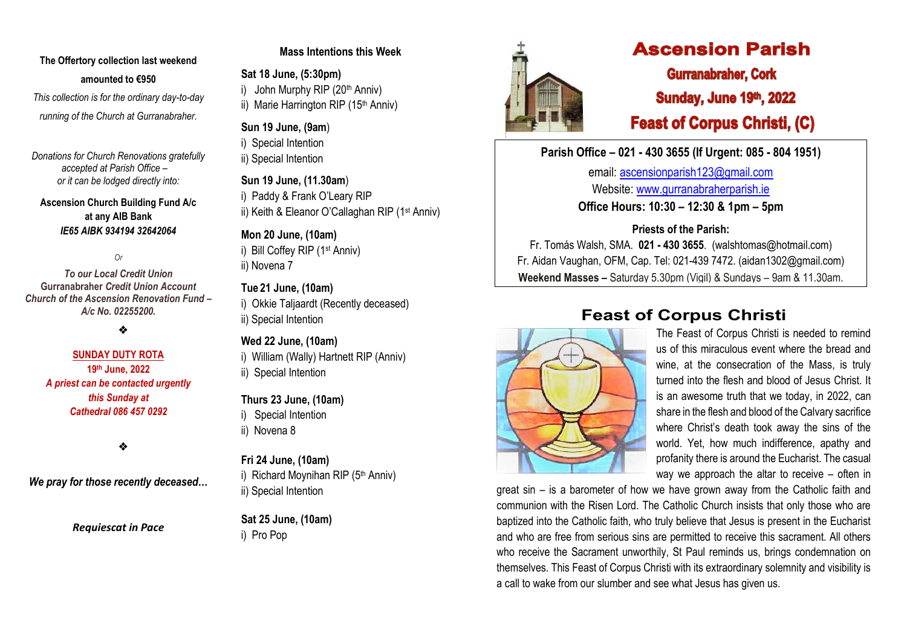# **The Offertory collection last weekend amounted to €950**

*This collection is for the ordinary day-to-day running of the Church at Gurranabraher.*

*Donations for Church Renovations gratefully accepted at Parish Office – or it can be lodged directly into:*

## **Ascension Church Building Fund A/c at any AIB Bank**  *IE65 AIBK 934194 32642064*

*Or* 

*To our Local Credit Union* **Gurranabraher** *Credit Union Account Church of the Ascension Renovation Fund – A/c No. 02255200.*

❖

## **SUNDAY DUTY ROTA 19 th June, 2022** *A priest can be contacted urgently this Sunday at Cathedral 086 457 0292*

❖

*We pray for those recently deceased…*

*Requiescat in Pace*

## **Mass Intentions this Week**

**Sat 18 June, (5:30pm)** i) John Murphy RIP  $(20<sup>th</sup> Anniv)$ 

ii) Marie Harrington RIP (15<sup>th</sup> Anniv)

## **Sun 19 June, (9am**)

i) Special Intention

ii) Special Intention

**Sun 19 June, (11.30am**) i) Paddy & Frank O'Leary RIP ii) Keith & Eleanor O'Callaghan RIP (1<sup>st</sup> Anniv)

**Mon 20 June, (10am)**

i) Bill Coffey RIP (1st Anniv) ii) Novena 7

# **Tue 21 June, (10am)**

i) Okkie Taliaardt (Recently deceased) ii) Special Intention

# **Wed 22 June, (10am)**

i) William (Wally) Hartnett RIP (Anniv) ii) Special Intention

# **Thurs 23 June, (10am)**

i) Special Intention

ii) Novena 8

# **Fri 24 June, (10am)**

i) Richard Movnihan RIP (5th Anniv) ii) Special Intention

**Sat 25 June, (10am)** i) Pro Pop



# **Ascension Parish**

**Gurranabraher, Cork Sunday, June 19th, 2022 Feast of Corpus Christi, (C)** 

**Parish Office – 021 - 430 3655 (If Urgent: 085 - 804 1951)**

email: [ascensionparish123@gmail.com](mailto:ascensionparish123@gmail.com) Website: [www.gurranabraherparish.ie](http://www.gurranabraherparish.ie/) **Office Hours: 10:30 – 12:30 & 1pm – 5pm**

**Priests of the Parish:**

Fr. Tomás Walsh, SMA. **021 - 430 3655**. (walshtomas@hotmail.com) Fr. Aidan Vaughan, OFM, Cap. Tel: 021-439 7472. [\(aidan1302@gmail.com\)](mailto:aidan1302@gmail.com) **Weekend Masses –** Saturday 5.30pm (Vigil) & Sundays – 9am & 11.30am.

# **Feast of Corpus Christi**



The Feast of Corpus Christi is needed to remind us of this miraculous event where the bread and wine, at the consecration of the Mass, is truly turned into the flesh and blood of Jesus Christ. It is an awesome truth that we today, in 2022, can share in the flesh and blood of the Calvary sacrifice where Christ's death took away the sins of the world. Yet, how much indifference, apathy and profanity there is around the Eucharist. The casual way we approach the altar to receive – often in

great sin – is a barometer of how we have grown away from the Catholic faith and communion with the Risen Lord. The Catholic Church insists that only those who are baptized into the Catholic faith, who truly believe that Jesus is present in the Eucharist and who are free from serious sins are permitted to receive this sacrament. All others who receive the Sacrament unworthily, St Paul reminds us, brings condemnation on themselves. This Feast of Corpus Christi with its extraordinary solemnity and visibility is a call to wake from our slumber and see what Jesus has given us.